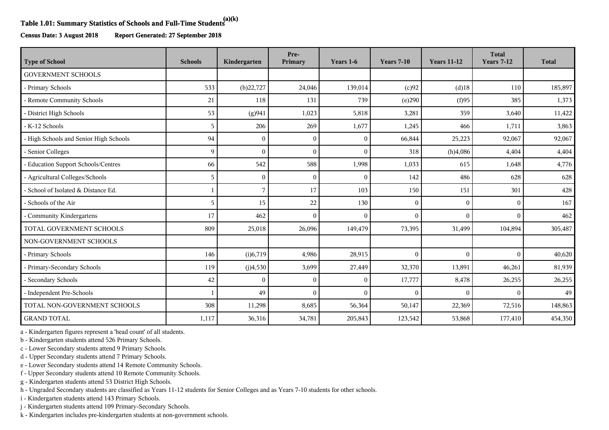## **Table 1.01: Summary Statistics of Schools and Full-Time Students(a)(k)**

**Census Date: 3 August 2018 Report Generated: 27 September 2018**

| <b>Type of School</b>                  | <b>Schools</b> | Kindergarten | Pre-<br>Primary | Years 1-6    | <b>Years 7-10</b> | <b>Years 11-12</b> | <b>Total</b><br><b>Years 7-12</b> | <b>Total</b> |
|----------------------------------------|----------------|--------------|-----------------|--------------|-------------------|--------------------|-----------------------------------|--------------|
| <b>GOVERNMENT SCHOOLS</b>              |                |              |                 |              |                   |                    |                                   |              |
| - Primary Schools                      | 533            | (b)22,727    | 24,046          | 139,014      | (c)92             | $(d)$ 18           | 110                               | 185,897      |
| - Remote Community Schools             | 21             | 118          | 131             | 739          | (e)290            | (f)95              | 385                               | 1,373        |
| - District High Schools                | 53             | (g)941       | 1,023           | 5,818        | 3,281             | 359                | 3,640                             | 11,422       |
| - K-12 Schools                         | 5              | 206          | 269             | 1,677        | 1,245             | 466                | 1,711                             | 3,863        |
| - High Schools and Senior High Schools | 94             | $\Omega$     | $\Omega$        | $\mathbf{0}$ | 66,844            | 25,223             | 92,067                            | 92,067       |
| - Senior Colleges                      | 9              | $\Omega$     | $\Omega$        | $\mathbf{0}$ | 318               | (h)4,086           | 4,404                             | 4,404        |
| - Education Support Schools/Centres    | 66             | 542          | 588             | 1,998        | 1,033             | 615                | 1,648                             | 4,776        |
| - Agricultural Colleges/Schools        | 5              | $\Omega$     | $\Omega$        | $\theta$     | 142               | 486                | 628                               | 628          |
| - School of Isolated & Distance Ed.    |                | 7            | 17              | 103          | 150               | 151                | 301                               | 428          |
| - Schools of the Air                   | 5              | 15           | 22              | 130          | $\mathbf{0}$      | $\mathbf{0}$       | $\Omega$                          | 167          |
| - Community Kindergartens              | 17             | 462          | $\Omega$        | $\Omega$     | $\Omega$          | $\Omega$           | $\Omega$                          | 462          |
| TOTAL GOVERNMENT SCHOOLS               | 809            | 25,018       | 26,096          | 149,479      | 73,395            | 31,499             | 104,894                           | 305,487      |
| NON-GOVERNMENT SCHOOLS                 |                |              |                 |              |                   |                    |                                   |              |
| - Primary Schools                      | 146            | (i)6,719     | 4,986           | 28,915       | $\overline{0}$    | $\mathbf{0}$       | $\Omega$                          | 40,620       |
| - Primary-Secondary Schools            | 119            | (j)4,530     | 3,699           | 27,449       | 32,370            | 13,891             | 46,261                            | 81,939       |
| - Secondary Schools                    | 42             | $\Omega$     | 0               | $\theta$     | 17,777            | 8,478              | 26,255                            | 26,255       |
| - Independent Pre-Schools              | 1              | 49           | $\theta$        | $\theta$     | $\mathbf{0}$      | $\theta$           | $\Omega$                          | 49           |
| TOTAL NON-GOVERNMENT SCHOOLS           | 308            | 11,298       | 8,685           | 56,364       | 50,147            | 22,369             | 72,516                            | 148,863      |
| <b>GRAND TOTAL</b>                     | 1,117          | 36,316       | 34,781          | 205,843      | 123,542           | 53,868             | 177,410                           | 454,350      |

a - Kindergarten figures represent a 'head count' of all students.

b - Kindergarten students attend 526 Primary Schools.

c - Lower Secondary students attend 9 Primary Schools.

d - Upper Secondary students attend 7 Primary Schools.

e - Lower Secondary students attend 14 Remote Community Schools.

f - Upper Secondary students attend 10 Remote Community Schools.

g - Kindergarten students attend 53 District High Schools.

h - Ungraded Secondary students are classified as Years 11-12 students for Senior Colleges and as Years 7-10 students for other schools.

i - Kindergarten students attend 143 Primary Schools.

j - Kindergarten students attend 109 Primary-Secondary Schools.

k - Kindergarten includes pre-kindergarten students at non-government schools.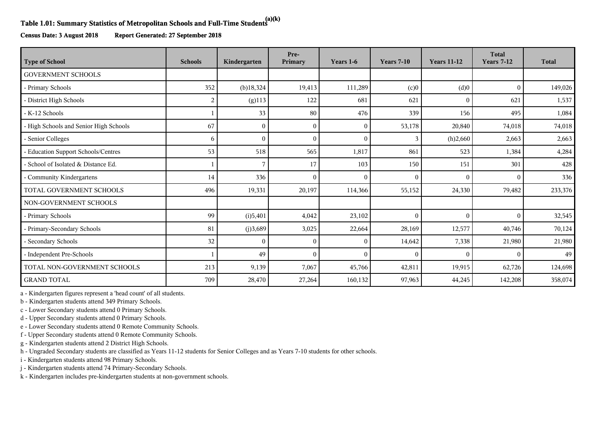## **Table 1.01: Summary Statistics of Metropolitan Schools and Full-Time Students(a)(k)**

**Census Date: 3 August 2018 Report Generated: 27 September 2018**

| <b>Type of School</b>                  | <b>Schools</b> | Kindergarten | Pre-<br>Primary | Years 1-6    | <b>Years 7-10</b> | <b>Years 11-12</b> | <b>Total</b><br><b>Years 7-12</b> | <b>Total</b> |
|----------------------------------------|----------------|--------------|-----------------|--------------|-------------------|--------------------|-----------------------------------|--------------|
| <b>GOVERNMENT SCHOOLS</b>              |                |              |                 |              |                   |                    |                                   |              |
| - Primary Schools                      | 352            | $(b)$ 18,324 | 19,413          | 111,289      | (c)0              | (d)0               | $\theta$                          | 149,026      |
| - District High Schools                | 2              | $(g)$ 113    | 122             | 681          | 621               | $\mathbf{0}$       | 621                               | 1,537        |
| - K-12 Schools                         |                | 33           | 80              | 476          | 339               | 156                | 495                               | 1,084        |
| - High Schools and Senior High Schools | 67             | $\Omega$     | $\Omega$        | $\mathbf{0}$ | 53,178            | 20,840             | 74,018                            | 74,018       |
| Senior Colleges                        | 6              | $\Omega$     | $\sqrt{ }$      | $\mathbf{0}$ | 3                 | (h)2,660           | 2,663                             | 2,663        |
| - Education Support Schools/Centres    | 53             | 518          | 565             | 1,817        | 861               | 523                | 1,384                             | 4,284        |
| - School of Isolated & Distance Ed.    |                |              | 17              | 103          | 150               | 151                | 301                               | 428          |
| Community Kindergartens                | 14             | 336          | $\Omega$        | $\theta$     | $\Omega$          | $\theta$           | $\Omega$                          | 336          |
| TOTAL GOVERNMENT SCHOOLS               | 496            | 19,331       | 20,197          | 114,366      | 55,152            | 24,330             | 79,482                            | 233,376      |
| NON-GOVERNMENT SCHOOLS                 |                |              |                 |              |                   |                    |                                   |              |
| - Primary Schools                      | 99             | (i)5,401     | 4,042           | 23,102       | $\mathbf{0}$      | $\mathbf{0}$       | $\Omega$                          | 32,545       |
| - Primary-Secondary Schools            | 81             | (j)3,689     | 3,025           | 22,664       | 28,169            | 12,577             | 40,746                            | 70,124       |
| - Secondary Schools                    | 32             |              |                 | $\mathbf{0}$ | 14,642            | 7,338              | 21,980                            | 21,980       |
| - Independent Pre-Schools              |                | 49           |                 | $\theta$     | $\theta$          | $\mathbf{0}$       | $\Omega$                          | 49           |
| TOTAL NON-GOVERNMENT SCHOOLS           | 213            | 9,139        | 7,067           | 45,766       | 42,811            | 19,915             | 62,726                            | 124,698      |
| <b>GRAND TOTAL</b>                     | 709            | 28,470       | 27,264          | 160,132      | 97,963            | 44,245             | 142,208                           | 358,074      |

a - Kindergarten figures represent a 'head count' of all students.

b - Kindergarten students attend 349 Primary Schools.

c - Lower Secondary students attend 0 Primary Schools.

d - Upper Secondary students attend 0 Primary Schools.

e - Lower Secondary students attend 0 Remote Community Schools.

f - Upper Secondary students attend 0 Remote Community Schools.

g - Kindergarten students attend 2 District High Schools.

h - Ungraded Secondary students are classified as Years 11-12 students for Senior Colleges and as Years 7-10 students for other schools.

i - Kindergarten students attend 98 Primary Schools.

j - Kindergarten students attend 74 Primary-Secondary Schools.

k - Kindergarten includes pre-kindergarten students at non-government schools.